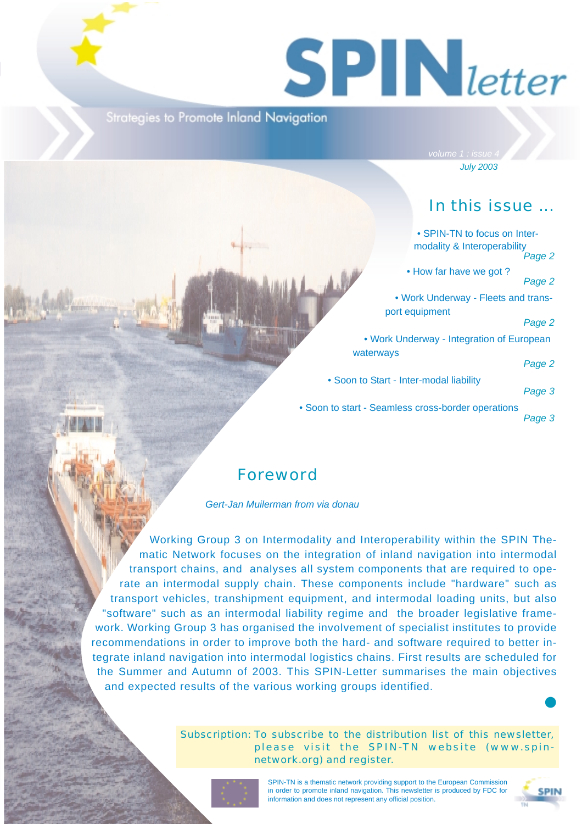# $S$  **PIN** letter

**Strategies to Promote Inland Navigation** 

*July 2003*

## In this issue ...

|                                         | • SPIN-TN to focus on Inter-<br>modality & Interoperability | Page 2 |
|-----------------------------------------|-------------------------------------------------------------|--------|
| W                                       | • How far have we got?                                      | Page 2 |
|                                         | . Work Underway - Fleets and trans-                         |        |
|                                         | port equipment                                              | Page 2 |
|                                         | • Work Underway - Integration of European                   |        |
| waterways                               |                                                             | Page 2 |
| • Soon to Start - Inter-modal liability |                                                             | Page 3 |
|                                         | to start - Seamless cross-border operations                 | Page 3 |

### Foreword

*Gert-Jan Muilerman from via donau*

Working Group 3 on Intermodality and Interoperability within the SPIN Thematic Network focuses on the integration of inland navigation into intermodal transport chains, and analyses all system components that are required to operate an intermodal supply chain. These components include "hardware" such as transport vehicles, transhipment equipment, and intermodal loading units, but also "software" such as an intermodal liability regime and the broader legislative framework. Working Group 3 has organised the involvement of specialist institutes to provide recommendations in order to improve both the hard- and software required to better integrate inland navigation into intermodal logistics chains. First results are scheduled for the Summer and Autumn of 2003. This SPIN-Letter summarises the main objectives and expected results of the various working groups identified.

 $\bullet$  Soon to

Subscription: To subscribe to the distribution list of this newsletter, please visit the SPIN-TN website (www.spinnetwork.org) and register.



SPIN-TN is a thematic network providing support to the European Commission in order to promote inland navigation. This newsletter is produced by FDC for information and does not represent any official position.



❶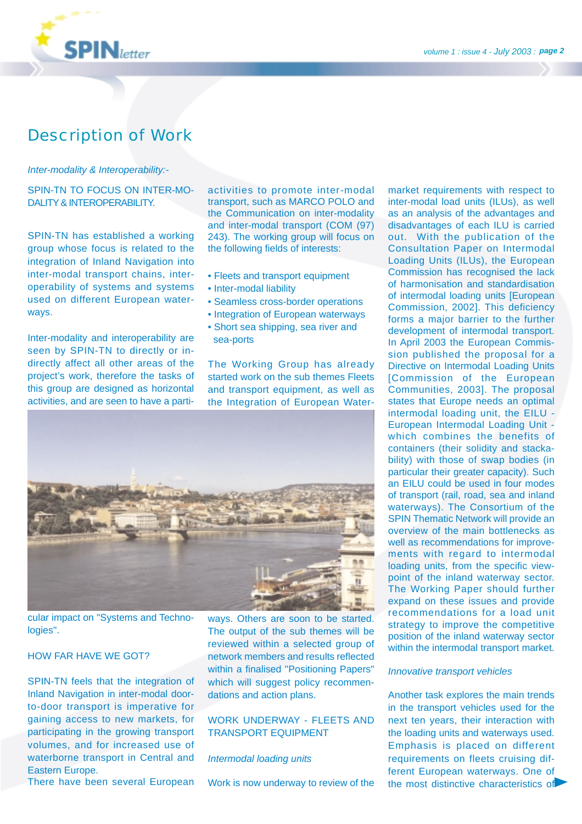

## Description of Work

#### *Inter-modality & Interoperability:-*

#### SPIN-TN TO FOCUS ON INTER-MO-DALITY & INTEROPERABILITY.

SPIN-TN has established a working group whose focus is related to the integration of Inland Navigation into inter-modal transport chains, interoperability of systems and systems used on different European waterways.

Inter-modality and interoperability are seen by SPIN-TN to directly or indirectly affect all other areas of the project's work, therefore the tasks of this group are designed as horizontal activities, and are seen to have a partiactivities to promote inter-modal transport, such as MARCO POLO and the Communication on inter-modality and inter-modal transport (COM (97) 243). The working group will focus on the following fields of interests:

- Fleets and transport equipment
- Inter-modal liability
- Seamless cross-border operations
- Integration of European waterways
- Short sea shipping, sea river and sea-ports

The Working Group has already started work on the sub themes Fleets and transport equipment, as well as the Integration of European Water-



cular impact on "Systems and Technologies".

#### HOW FAR HAVE WE GOT?

SPIN-TN feels that the integration of Inland Navigation in inter-modal doorto-door transport is imperative for gaining access to new markets, for participating in the growing transport volumes, and for increased use of waterborne transport in Central and Eastern Europe.

There have been several European

ways. Others are soon to be started. The output of the sub themes will be reviewed within a selected group of network members and results reflected within a finalised "Positioning Papers" which will suggest policy recommendations and action plans.

#### WORK UNDERWAY - FLEETS AND TRANSPORT EQUIPMENT

#### *Intermodal loading units*

Work is now underway to review of the

market requirements with respect to inter-modal load units (ILUs), as well as an analysis of the advantages and disadvantages of each ILU is carried out. With the publication of the Consultation Paper on Intermodal Loading Units (ILUs), the European Commission has recognised the lack of harmonisation and standardisation of intermodal loading units [European Commission, 2002]. This deficiency forms a major barrier to the further development of intermodal transport. In April 2003 the European Commission published the proposal for a Directive on Intermodal Loading Units [Commission of the European Communities, 2003]. The proposal states that Europe needs an optimal intermodal loading unit, the EILU - European Intermodal Loading Unit which combines the benefits of containers (their solidity and stackability) with those of swap bodies (in particular their greater capacity). Such an EILU could be used in four modes of transport (rail, road, sea and inland waterways). The Consortium of the SPIN Thematic Network will provide an overview of the main bottlenecks as well as recommendations for improvements with regard to intermodal loading units, from the specific viewpoint of the inland waterway sector. The Working Paper should further expand on these issues and provide recommendations for a load unit strategy to improve the competitive position of the inland waterway sector within the intermodal transport market.

#### *Innovative transport vehicles*

Another task explores the main trends in the transport vehicles used for the next ten years, their interaction with the loading units and waterways used. Emphasis is placed on different requirements on fleets cruising different European waterways. One of the most distinctive characteristics of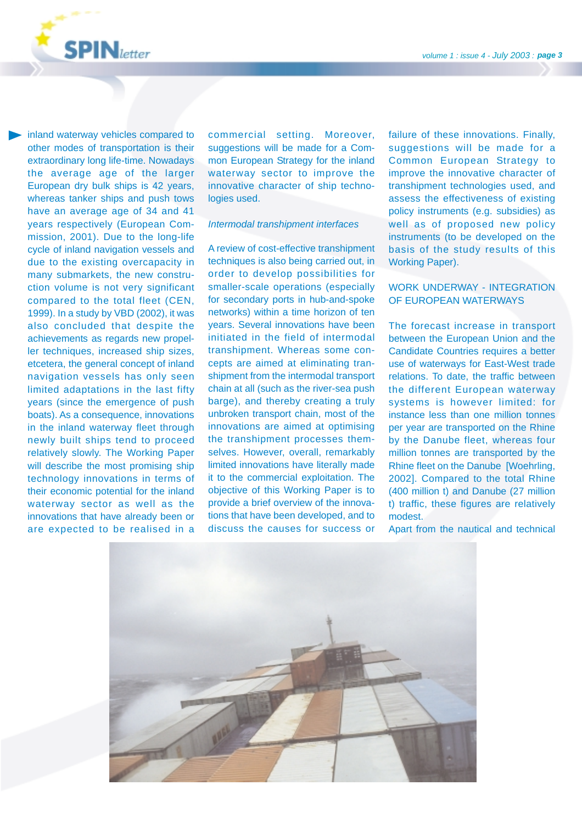

inland waterway vehicles compared to other modes of transportation is their extraordinary long life-time. Nowadays the average age of the larger European dry bulk ships is 42 years, whereas tanker ships and push tows have an average age of 34 and 41 years respectively (European Commission, 2001). Due to the long-life cycle of inland navigation vessels and due to the existing overcapacity in many submarkets, the new construction volume is not very significant compared to the total fleet (CEN, 1999). In a study by VBD (2002), it was also concluded that despite the achievements as regards new propeller techniques, increased ship sizes, etcetera, the general concept of inland navigation vessels has only seen limited adaptations in the last fifty years (since the emergence of push boats). As a consequence, innovations in the inland waterway fleet through newly built ships tend to proceed relatively slowly. The Working Paper will describe the most promising ship technology innovations in terms of their economic potential for the inland waterway sector as well as the innovations that have already been or are expected to be realised in a commercial setting. Moreover, suggestions will be made for a Common European Strategy for the inland waterway sector to improve the innovative character of ship technologies used.

#### *Intermodal transhipment interfaces*

A review of cost-effective transhipment techniques is also being carried out, in order to develop possibilities for smaller-scale operations (especially for secondary ports in hub-and-spoke networks) within a time horizon of ten years. Several innovations have been initiated in the field of intermodal transhipment. Whereas some concepts are aimed at eliminating transhipment from the intermodal transport chain at all (such as the river-sea push barge), and thereby creating a truly unbroken transport chain, most of the innovations are aimed at optimising the transhipment processes themselves. However, overall, remarkably limited innovations have literally made it to the commercial exploitation. The objective of this Working Paper is to provide a brief overview of the innovations that have been developed, and to discuss the causes for success or

failure of these innovations. Finally, suggestions will be made for a Common European Strategy to improve the innovative character of transhipment technologies used, and assess the effectiveness of existing policy instruments (e.g. subsidies) as well as of proposed new policy instruments (to be developed on the basis of the study results of this Working Paper).

#### WORK UNDERWAY - INTEGRATION OF EUROPEAN WATERWAYS

The forecast increase in transport between the European Union and the Candidate Countries requires a better use of waterways for East-West trade relations. To date, the traffic between the different European waterway systems is however limited: for instance less than one million tonnes per year are transported on the Rhine by the Danube fleet, whereas four million tonnes are transported by the Rhine fleet on the Danube [Woehrling, 2002]. Compared to the total Rhine (400 million t) and Danube (27 million t) traffic, these figures are relatively modest.

Apart from the nautical and technical

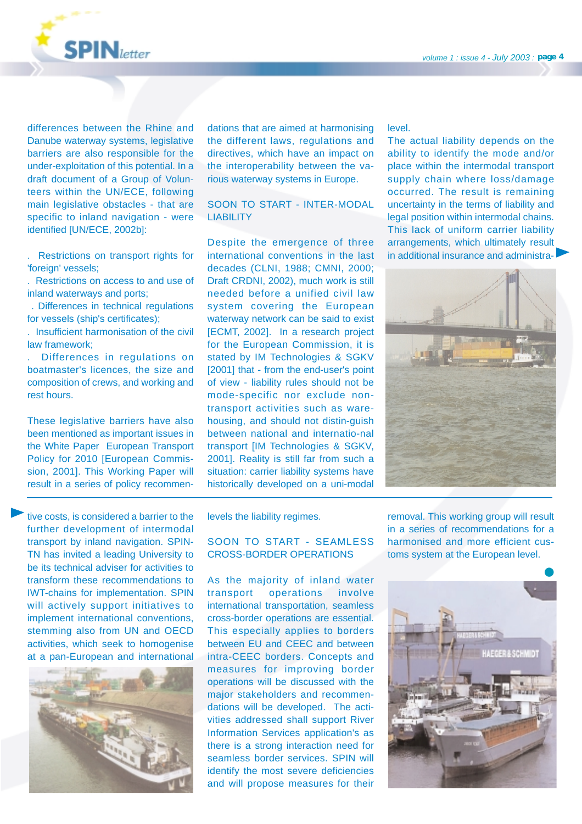

differences between the Rhine and Danube waterway systems, legislative barriers are also responsible for the under-exploitation of this potential. In a draft document of a Group of Volunteers within the UN/ECE, following main legislative obstacles - that are specific to inland navigation - were identified [UN/ECE, 2002b]:

. Restrictions on transport rights for 'foreign' vessels;

. Restrictions on access to and use of inland waterways and ports;

. Differences in technical regulations for vessels (ship's certificates);

. Insufficient harmonisation of the civil law framework;

. Differences in regulations on boatmaster's licences, the size and composition of crews, and working and rest hours.

These legislative barriers have also been mentioned as important issues in the White Paper European Transport Policy for 2010 [European Commission, 2001]. This Working Paper will result in a series of policy recommen-

tive costs, is considered a barrier to the further development of intermodal transport by inland navigation. SPIN-TN has invited a leading University to be its technical adviser for activities to transform these recommendations to IWT-chains for implementation. SPIN will actively support initiatives to implement international conventions, stemming also from UN and OECD activities, which seek to homogenise at a pan-European and international



dations that are aimed at harmonising the different laws, regulations and directives, which have an impact on the interoperability between the various waterway systems in Europe.

#### SOON TO START - INTER-MODAL **LIABILITY**

Despite the emergence of three international conventions in the last decades (CLNI, 1988; CMNI, 2000; Draft CRDNI, 2002), much work is still needed before a unified civil law system covering the European waterway network can be said to exist [ECMT, 2002]. In a research project for the European Commission, it is stated by IM Technologies & SGKV [2001] that - from the end-user's point of view - liability rules should not be mode-specific nor exclude nontransport activities such as warehousing, and should not distin-guish between national and internatio-nal transport [IM Technologies & SGKV, 2001]. Reality is still far from such a situation: carrier liability systems have historically developed on a uni-modal level.

The actual liability depends on the ability to identify the mode and/or place within the intermodal transport supply chain where loss/damage occurred. The result is remaining uncertainty in the terms of liability and legal position within intermodal chains. This lack of uniform carrier liability arrangements, which ultimately result in additional insurance and administra-



levels the liability regimes.

#### SOON TO START - SEAMLESS CROSS-BORDER OPERATIONS

As the majority of inland water transport operations involve international transportation, seamless cross-border operations are essential. This especially applies to borders between EU and CEEC and between intra-CEEC borders. Concepts and measures for improving border operations will be discussed with the major stakeholders and recommendations will be developed. The activities addressed shall support River Information Services application's as there is a strong interaction need for seamless border services. SPIN will identify the most severe deficiencies and will propose measures for their

removal. This working group will result in a series of recommendations for a harmonised and more efficient customs system at the European level.

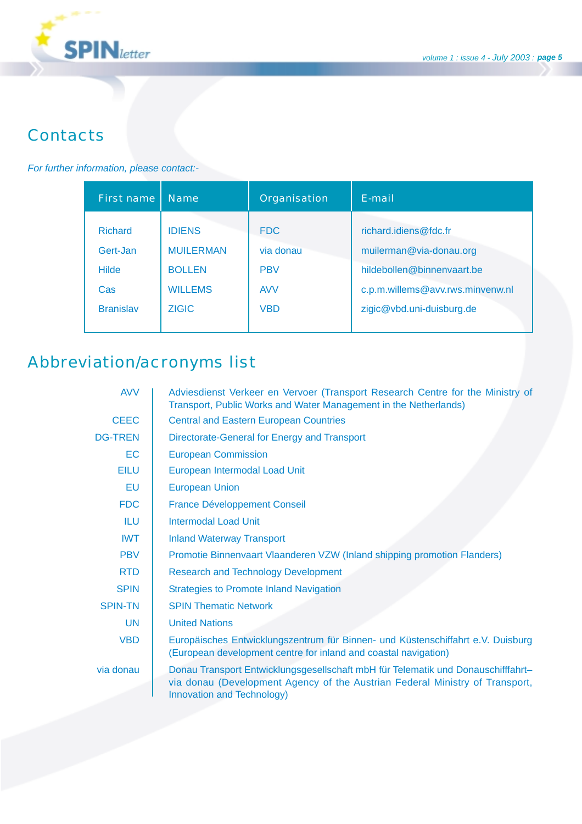

## **Contacts**

#### *For further information, please contact:-*

| First name       | <b>Name</b>      | Organisation | F-mail                           |
|------------------|------------------|--------------|----------------------------------|
| <b>Richard</b>   | <b>IDIENS</b>    | <b>FDC</b>   | richard.idiens@fdc.fr            |
| Gert-Jan         | <b>MUILERMAN</b> | via donau    | muilerman@via-donau.org          |
| <b>Hilde</b>     | <b>BOLLEN</b>    | <b>PBV</b>   | hildebollen@binnenvaart.be       |
| Cas.             | <b>WILLEMS</b>   | <b>AVV</b>   | c.p.m.willems@avv.rws.minvenw.nl |
| <b>Branislav</b> | <b>ZIGIC</b>     | <b>VBD</b>   | zigic@vbd.uni-duisburg.de        |

# Abbreviation/acronyms list

| <b>AVV</b>     | Adviesdienst Verkeer en Vervoer (Transport Research Centre for the Ministry of<br>Transport, Public Works and Water Management in the Netherlands)                                             |
|----------------|------------------------------------------------------------------------------------------------------------------------------------------------------------------------------------------------|
| <b>CEEC</b>    | <b>Central and Eastern European Countries</b>                                                                                                                                                  |
| <b>DG-TREN</b> | Directorate-General for Energy and Transport                                                                                                                                                   |
| <b>EC</b>      | <b>European Commission</b>                                                                                                                                                                     |
| <b>EILU</b>    | European Intermodal Load Unit                                                                                                                                                                  |
| <b>EU</b>      | <b>European Union</b>                                                                                                                                                                          |
| <b>FDC</b>     | <b>France Développement Conseil</b>                                                                                                                                                            |
| ILU            | Intermodal Load Unit                                                                                                                                                                           |
| <b>IWT</b>     | <b>Inland Waterway Transport</b>                                                                                                                                                               |
| <b>PBV</b>     | Promotie Binnenvaart Vlaanderen VZW (Inland shipping promotion Flanders)                                                                                                                       |
| <b>RTD</b>     | <b>Research and Technology Development</b>                                                                                                                                                     |
| <b>SPIN</b>    | <b>Strategies to Promote Inland Navigation</b>                                                                                                                                                 |
| <b>SPIN-TN</b> | <b>SPIN Thematic Network</b>                                                                                                                                                                   |
| <b>UN</b>      | <b>United Nations</b>                                                                                                                                                                          |
| <b>VBD</b>     | Europäisches Entwicklungszentrum für Binnen- und Küstenschiffahrt e.V. Duisburg<br>(European development centre for inland and coastal navigation)                                             |
| via donau      | Donau Transport Entwicklungsgesellschaft mbH für Telematik und Donauschifffahrt-<br>via donau (Development Agency of the Austrian Federal Ministry of Transport,<br>Innovation and Technology) |